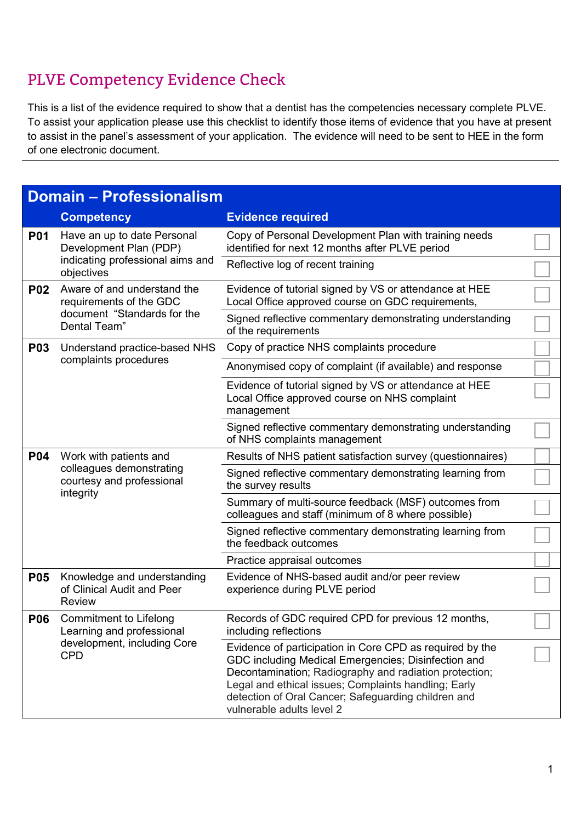## PLVE Competency Evidence Check

This is a list of the evidence required to show that a dentist has the competencies necessary complete PLVE. To assist your application please use this checklist to identify those items of evidence that you have at present to assist in the panel's assessment of your application. The evidence will need to be sent to HEE in the form of one electronic document.

| <b>Domain - Professionalism</b> |                                                                                                         |                                                                                                                                                                                                                                                                                                                       |  |
|---------------------------------|---------------------------------------------------------------------------------------------------------|-----------------------------------------------------------------------------------------------------------------------------------------------------------------------------------------------------------------------------------------------------------------------------------------------------------------------|--|
|                                 | <b>Competency</b>                                                                                       | <b>Evidence required</b>                                                                                                                                                                                                                                                                                              |  |
| <b>P01</b>                      | Have an up to date Personal<br>Development Plan (PDP)<br>indicating professional aims and<br>objectives | Copy of Personal Development Plan with training needs<br>identified for next 12 months after PLVE period                                                                                                                                                                                                              |  |
|                                 |                                                                                                         | Reflective log of recent training                                                                                                                                                                                                                                                                                     |  |
| <b>P02</b>                      | Aware of and understand the<br>requirements of the GDC<br>document "Standards for the<br>Dental Team"   | Evidence of tutorial signed by VS or attendance at HEE<br>Local Office approved course on GDC requirements,                                                                                                                                                                                                           |  |
|                                 |                                                                                                         | Signed reflective commentary demonstrating understanding<br>of the requirements                                                                                                                                                                                                                                       |  |
| <b>P03</b>                      | Understand practice-based NHS                                                                           | Copy of practice NHS complaints procedure                                                                                                                                                                                                                                                                             |  |
|                                 | complaints procedures                                                                                   | Anonymised copy of complaint (if available) and response                                                                                                                                                                                                                                                              |  |
|                                 |                                                                                                         | Evidence of tutorial signed by VS or attendance at HEE<br>Local Office approved course on NHS complaint<br>management                                                                                                                                                                                                 |  |
|                                 |                                                                                                         | Signed reflective commentary demonstrating understanding<br>of NHS complaints management                                                                                                                                                                                                                              |  |
| <b>P04</b>                      | Work with patients and<br>colleagues demonstrating<br>courtesy and professional<br>integrity            | Results of NHS patient satisfaction survey (questionnaires)                                                                                                                                                                                                                                                           |  |
|                                 |                                                                                                         | Signed reflective commentary demonstrating learning from<br>the survey results                                                                                                                                                                                                                                        |  |
|                                 |                                                                                                         | Summary of multi-source feedback (MSF) outcomes from<br>colleagues and staff (minimum of 8 where possible)                                                                                                                                                                                                            |  |
|                                 |                                                                                                         | Signed reflective commentary demonstrating learning from<br>the feedback outcomes                                                                                                                                                                                                                                     |  |
|                                 |                                                                                                         | Practice appraisal outcomes                                                                                                                                                                                                                                                                                           |  |
| <b>P05</b>                      | Knowledge and understanding<br>of Clinical Audit and Peer<br><b>Review</b>                              | Evidence of NHS-based audit and/or peer review<br>experience during PLVE period                                                                                                                                                                                                                                       |  |
| <b>P06</b>                      | Commitment to Lifelong<br>Learning and professional                                                     | Records of GDC required CPD for previous 12 months,<br>including reflections                                                                                                                                                                                                                                          |  |
|                                 | development, including Core<br><b>CPD</b>                                                               | Evidence of participation in Core CPD as required by the<br>GDC including Medical Emergencies; Disinfection and<br>Decontamination; Radiography and radiation protection;<br>Legal and ethical issues; Complaints handling; Early<br>detection of Oral Cancer; Safeguarding children and<br>vulnerable adults level 2 |  |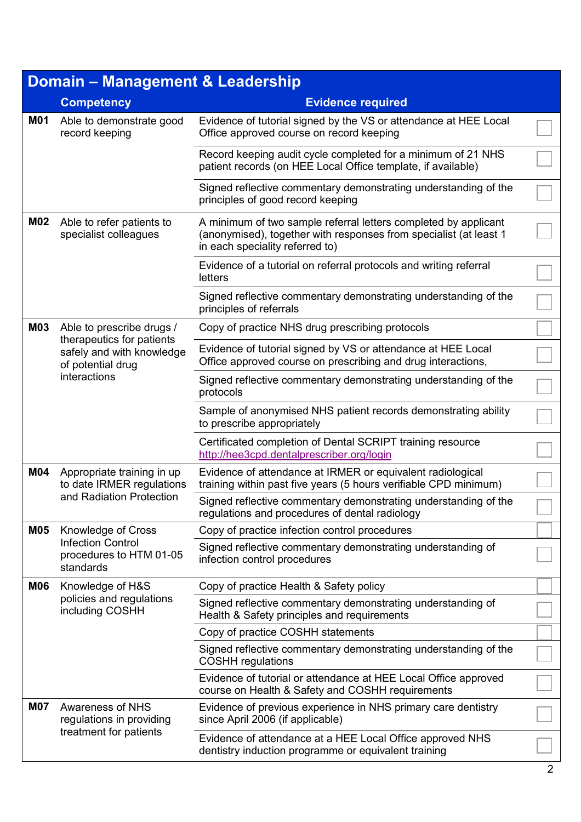| Domain - Management & Leadership |                                                                                        |                                                                                                                                                                         |  |
|----------------------------------|----------------------------------------------------------------------------------------|-------------------------------------------------------------------------------------------------------------------------------------------------------------------------|--|
|                                  | <b>Competency</b>                                                                      | <b>Evidence required</b>                                                                                                                                                |  |
| <b>M01</b>                       | Able to demonstrate good<br>record keeping                                             | Evidence of tutorial signed by the VS or attendance at HEE Local<br>Office approved course on record keeping                                                            |  |
|                                  |                                                                                        | Record keeping audit cycle completed for a minimum of 21 NHS<br>patient records (on HEE Local Office template, if available)                                            |  |
|                                  |                                                                                        | Signed reflective commentary demonstrating understanding of the<br>principles of good record keeping                                                                    |  |
| <b>M02</b>                       | Able to refer patients to<br>specialist colleagues                                     | A minimum of two sample referral letters completed by applicant<br>(anonymised), together with responses from specialist (at least 1<br>in each speciality referred to) |  |
|                                  |                                                                                        | Evidence of a tutorial on referral protocols and writing referral<br>letters                                                                                            |  |
|                                  |                                                                                        | Signed reflective commentary demonstrating understanding of the<br>principles of referrals                                                                              |  |
| <b>M03</b>                       | Able to prescribe drugs /                                                              | Copy of practice NHS drug prescribing protocols                                                                                                                         |  |
|                                  | therapeutics for patients<br>safely and with knowledge<br>of potential drug            | Evidence of tutorial signed by VS or attendance at HEE Local<br>Office approved course on prescribing and drug interactions,                                            |  |
|                                  | interactions                                                                           | Signed reflective commentary demonstrating understanding of the<br>protocols                                                                                            |  |
|                                  |                                                                                        | Sample of anonymised NHS patient records demonstrating ability<br>to prescribe appropriately                                                                            |  |
|                                  |                                                                                        | Certificated completion of Dental SCRIPT training resource<br>http://hee3cpd.dentalprescriber.org/login                                                                 |  |
| <b>M04</b>                       | Appropriate training in up<br>to date IRMER regulations                                | Evidence of attendance at IRMER or equivalent radiological<br>training within past five years (5 hours verifiable CPD minimum)                                          |  |
|                                  | and Radiation Protection                                                               | Signed reflective commentary demonstrating understanding of the<br>regulations and procedures of dental radiology                                                       |  |
| <b>M05</b>                       | Knowledge of Cross<br><b>Infection Control</b><br>procedures to HTM 01-05<br>standards | Copy of practice infection control procedures                                                                                                                           |  |
|                                  |                                                                                        | Signed reflective commentary demonstrating understanding of<br>infection control procedures                                                                             |  |
| <b>M06</b>                       | Knowledge of H&S<br>policies and regulations<br>including COSHH                        | Copy of practice Health & Safety policy                                                                                                                                 |  |
|                                  |                                                                                        | Signed reflective commentary demonstrating understanding of<br>Health & Safety principles and requirements                                                              |  |
|                                  |                                                                                        | Copy of practice COSHH statements                                                                                                                                       |  |
|                                  |                                                                                        | Signed reflective commentary demonstrating understanding of the<br><b>COSHH</b> regulations                                                                             |  |
|                                  |                                                                                        | Evidence of tutorial or attendance at HEE Local Office approved<br>course on Health & Safety and COSHH requirements                                                     |  |
| <b>M07</b>                       | <b>Awareness of NHS</b><br>regulations in providing<br>treatment for patients          | Evidence of previous experience in NHS primary care dentistry<br>since April 2006 (if applicable)                                                                       |  |
|                                  |                                                                                        | Evidence of attendance at a HEE Local Office approved NHS<br>dentistry induction programme or equivalent training                                                       |  |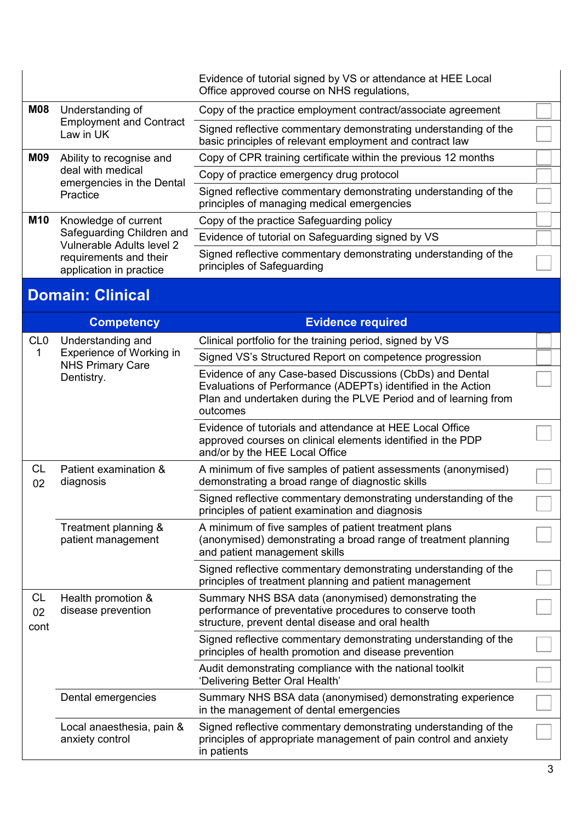|            |                                                                                                                                     | Evidence of tutorial signed by VS or attendance at HEE Local<br>Office approved course on NHS regulations,                  |  |
|------------|-------------------------------------------------------------------------------------------------------------------------------------|-----------------------------------------------------------------------------------------------------------------------------|--|
| <b>M08</b> | Understanding of<br><b>Employment and Contract</b><br>Law in UK                                                                     | Copy of the practice employment contract/associate agreement                                                                |  |
|            |                                                                                                                                     | Signed reflective commentary demonstrating understanding of the<br>basic principles of relevant employment and contract law |  |
| <b>M09</b> | Ability to recognise and<br>deal with medical<br>emergencies in the Dental<br>Practice                                              | Copy of CPR training certificate within the previous 12 months                                                              |  |
|            |                                                                                                                                     | Copy of practice emergency drug protocol                                                                                    |  |
|            |                                                                                                                                     | Signed reflective commentary demonstrating understanding of the<br>principles of managing medical emergencies               |  |
| <b>M10</b> | Knowledge of current<br>Safeguarding Children and<br>Vulnerable Adults level 2<br>requirements and their<br>application in practice | Copy of the practice Safeguarding policy                                                                                    |  |
|            |                                                                                                                                     | Evidence of tutorial on Safeguarding signed by VS                                                                           |  |
|            |                                                                                                                                     | Signed reflective commentary demonstrating understanding of the<br>principles of Safeguarding                               |  |

## **Domain: Clinical**

|                         | <b>Competency</b>                                                                      | <b>Evidence required</b>                                                                                                                                                                                |  |
|-------------------------|----------------------------------------------------------------------------------------|---------------------------------------------------------------------------------------------------------------------------------------------------------------------------------------------------------|--|
| CL <sub>0</sub><br>1    | Understanding and<br>Experience of Working in<br><b>NHS Primary Care</b><br>Dentistry. | Clinical portfolio for the training period, signed by VS                                                                                                                                                |  |
|                         |                                                                                        | Signed VS's Structured Report on competence progression                                                                                                                                                 |  |
|                         |                                                                                        | Evidence of any Case-based Discussions (CbDs) and Dental<br>Evaluations of Performance (ADEPTs) identified in the Action<br>Plan and undertaken during the PLVE Period and of learning from<br>outcomes |  |
|                         |                                                                                        | Evidence of tutorials and attendance at HEE Local Office<br>approved courses on clinical elements identified in the PDP<br>and/or by the HEE Local Office                                               |  |
| <b>CL</b><br>02         | Patient examination &<br>diagnosis                                                     | A minimum of five samples of patient assessments (anonymised)<br>demonstrating a broad range of diagnostic skills                                                                                       |  |
|                         |                                                                                        | Signed reflective commentary demonstrating understanding of the<br>principles of patient examination and diagnosis                                                                                      |  |
|                         | Treatment planning &<br>patient management                                             | A minimum of five samples of patient treatment plans<br>(anonymised) demonstrating a broad range of treatment planning<br>and patient management skills                                                 |  |
|                         |                                                                                        | Signed reflective commentary demonstrating understanding of the<br>principles of treatment planning and patient management                                                                              |  |
| <b>CL</b><br>02<br>cont | Health promotion &<br>disease prevention                                               | Summary NHS BSA data (anonymised) demonstrating the<br>performance of preventative procedures to conserve tooth<br>structure, prevent dental disease and oral health                                    |  |
|                         |                                                                                        | Signed reflective commentary demonstrating understanding of the<br>principles of health promotion and disease prevention                                                                                |  |
|                         |                                                                                        | Audit demonstrating compliance with the national toolkit<br>'Delivering Better Oral Health'                                                                                                             |  |
|                         | Dental emergencies                                                                     | Summary NHS BSA data (anonymised) demonstrating experience<br>in the management of dental emergencies                                                                                                   |  |
|                         | Local anaesthesia, pain &<br>anxiety control                                           | Signed reflective commentary demonstrating understanding of the<br>principles of appropriate management of pain control and anxiety<br>in patients                                                      |  |